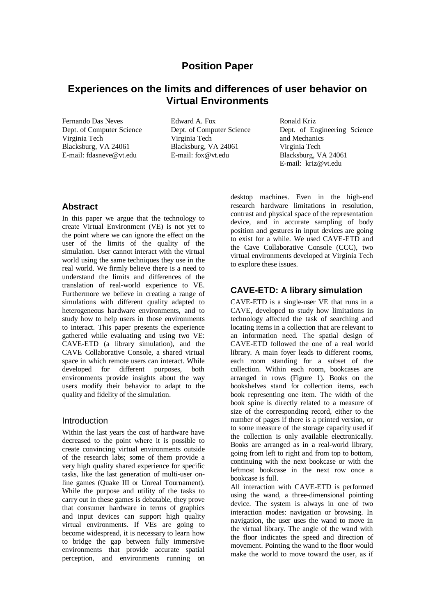# **Position Paper**

## **Experiences on the limits and differences of user behavior on Virtual Environments**

Fernando Das Neves Dept. of Computer Science Virginia Tech Blacksburg, VA 24061 E-mail: fdasneve@vt.edu

Edward A. Fox Dept. of Computer Science Virginia Tech Blacksburg, VA 24061 E-mail: fox@vt.edu

Ronald Kriz Dept. of Engineering Science and Mechanics Virginia Tech Blacksburg, VA 24061 E-mail: kriz@vt.edu

#### **Abstract**

In this paper we argue that the technology to create Virtual Environment (VE) is not yet to the point where we can ignore the effect on the user of the limits of the quality of the simulation. User cannot interact with the virtual world using the same techniques they use in the real world. We firmly believe there is a need to understand the limits and differences of the translation of real-world experience to VE. Furthermore we believe in creating a range of simulations with different quality adapted to heterogeneous hardware environments, and to study how to help users in those environments to interact. This paper presents the experience gathered while evaluating and using two VE: CAVE-ETD (a library simulation), and the CAVE Collaborative Console, a shared virtual space in which remote users can interact. While developed for different purposes, both environments provide insights about the way users modify their behavior to adapt to the quality and fidelity of the simulation.

#### Introduction

Within the last years the cost of hardware have decreased to the point where it is possible to create convincing virtual environments outside of the research labs; some of them provide a very high quality shared experience for specific tasks, like the last generation of multi-user online games (Quake III or Unreal Tournament). While the purpose and utility of the tasks to carry out in these games is debatable, they prove that consumer hardware in terms of graphics and input devices can support high quality virtual environments. If VEs are going to become widespread, it is necessary to learn how to bridge the gap between fully immersive environments that provide accurate spatial perception, and environments running on

desktop machines. Even in the high-end research hardware limitations in resolution, contrast and physical space of the representation device, and in accurate sampling of body position and gestures in input devices are going to exist for a while. We used CAVE-ETD and the Cave Collaborative Console (CCC), two virtual environments developed at Virginia Tech to explore these issues.

## **CAVE-ETD: A library simulation**

CAVE-ETD is a single-user VE that runs in a CAVE, developed to study how limitations in technology affected the task of searching and locating items in a collection that are relevant to an information need. The spatial design of CAVE-ETD followed the one of a real world library. A main foyer leads to different rooms, each room standing for a subset of the collection. Within each room, bookcases are arranged in rows (Figure 1). Books on the bookshelves stand for collection items, each book representing one item. The width of the book spine is directly related to a measure of size of the corresponding record, either to the number of pages if there is a printed version, or to some measure of the storage capacity used if the collection is only available electronically. Books are arranged as in a real-world library, going from left to right and from top to bottom, continuing with the next bookcase or with the leftmost bookcase in the next row once a bookcase is full.

All interaction with CAVE-ETD is performed using the wand, a three-dimensional pointing device. The system is always in one of two interaction modes: navigation or browsing. In navigation, the user uses the wand to move in the virtual library. The angle of the wand with the floor indicates the speed and direction of movement. Pointing the wand to the floor would make the world to move toward the user, as if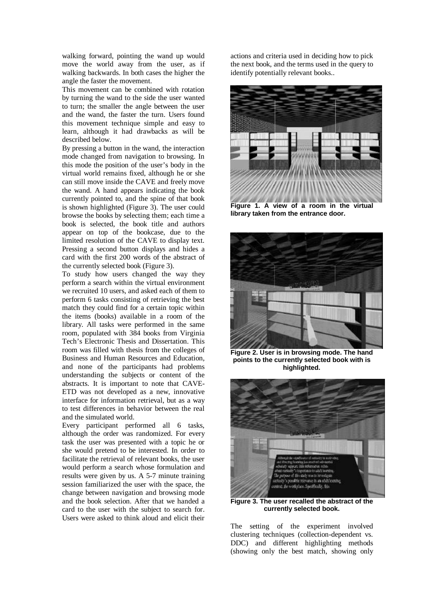walking forward, pointing the wand up would move the world away from the user, as if walking backwards. In both cases the higher the angle the faster the movement.

This movement can be combined with rotation by turning the wand to the side the user wanted to turn; the smaller the angle between the user and the wand, the faster the turn. Users found this movement technique simple and easy to learn, although it had drawbacks as will be described below.

By pressing a button in the wand, the interaction mode changed from navigation to browsing. In this mode the position of the user's body in the virtual world remains fixed, although he or she can still move inside the CAVE and freely move the wand. A hand appears indicating the book currently pointed to, and the spine of that book is shown highlighted (Figure 3). The user could browse the books by selecting them; each time a book is selected, the book title and authors appear on top of the bookcase, due to the limited resolution of the CAVE to display text. Pressing a second button displays and hides a card with the first 200 words of the abstract of the currently selected book (Figure 3).

To study how users changed the way they perform a search within the virtual environment we recruited 10 users, and asked each of them to perform 6 tasks consisting of retrieving the best match they could find for a certain topic within the items (books) available in a room of the library. All tasks were performed in the same room, populated with 384 books from Virginia Tech's Electronic Thesis and Dissertation. This room was filled with thesis from the colleges of Business and Human Resources and Education, and none of the participants had problems understanding the subjects or content of the abstracts. It is important to note that CAVE-ETD was not developed as a new, innovative interface for information retrieval, but as a way to test differences in behavior between the real and the simulated world.

Every participant performed all 6 tasks, although the order was randomized. For every task the user was presented with a topic he or she would pretend to be interested. In order to facilitate the retrieval of relevant books, the user would perform a search whose formulation and results were given by us. A 5-7 minute training session familiarized the user with the space, the change between navigation and browsing mode and the book selection. After that we handed a card to the user with the subject to search for. Users were asked to think aloud and elicit their

actions and criteria used in deciding how to pick the next book, and the terms used in the query to identify potentially relevant books..



**Figure 1. A view of a room in the virtual library taken from the entrance door.**



**Figure 2. User is in browsing mode. The hand points to the currently selected book with is highlighted.**



**Figure 3. The user recalled the abstract of the currently selected book.**

The setting of the experiment involved clustering techniques (collection-dependent vs. DDC) and different highlighting methods (showing only the best match, showing only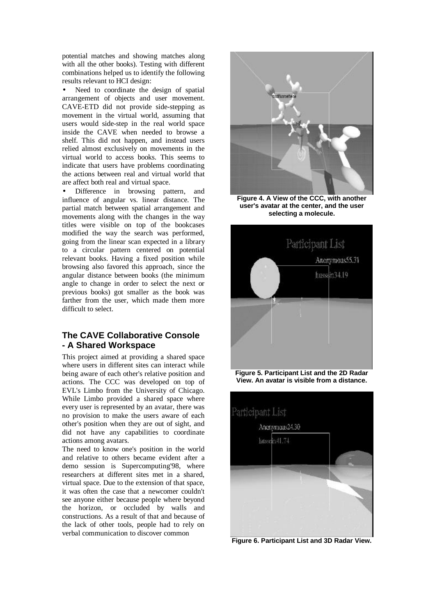potential matches and showing matches along with all the other books). Testing with different combinations helped us to identify the following results relevant to HCI design:

Need to coordinate the design of spatial arrangement of objects and user movement. CAVE-ETD did not provide side-stepping as movement in the virtual world, assuming that users would side-step in the real world space inside the CAVE when needed to browse a shelf. This did not happen, and instead users relied almost exclusively on movements in the virtual world to access books. This seems to indicate that users have problems coordinating the actions between real and virtual world that are affect both real and virtual space.

Difference in browsing pattern, and influence of angular vs. linear distance. The partial match between spatial arrangement and movements along with the changes in the way titles were visible on top of the bookcases modified the way the search was performed, going from the linear scan expected in a library to a circular pattern centered on potential relevant books. Having a fixed position while browsing also favored this approach, since the angular distance between books (the minimum angle to change in order to select the next or previous books) got smaller as the book was farther from the user, which made them more difficult to select.

## **The CAVE Collaborative Console - A Shared Workspace**

This project aimed at providing a shared space where users in different sites can interact while being aware of each other's relative position and actions. The CCC was developed on top of EVL's Limbo from the University of Chicago. While Limbo provided a shared space where every user is represented by an avatar, there was no provision to make the users aware of each other's position when they are out of sight, and did not have any capabilities to coordinate actions among avatars.

The need to know one's position in the world and relative to others became evident after a demo session is Supercomputing'98, where researchers at different sites met in a shared, virtual space. Due to the extension of that space, it was often the case that a newcomer couldn't see anyone either because people where beyond the horizon, or occluded by walls and constructions. As a result of that and because of the lack of other tools, people had to rely on verbal communication to discover common



**Figure 4. A View of the CCC, with another user's avatar at the center, and the user selecting a molecule.**



**Figure 5. Participant List and the 2D Radar View. An avatar is visible from a distance.**



**Figure 6. Participant List and 3D Radar View.**